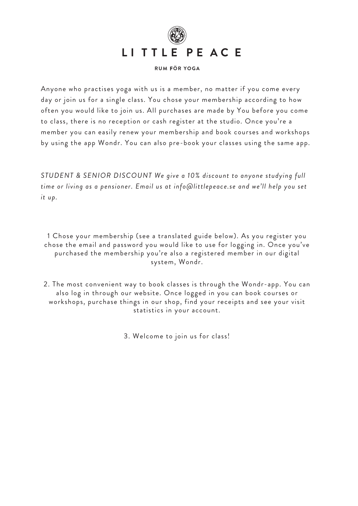

#### **RUM FÖR YOGA**

Anyone who practises yoga with us is a member, no matter if you come every day or join us for a single class. You chose your membership according to how often you would like to join us. All purchases are made by You before you come to class, there is no reception or cash register at the studio. Once you're a member you can easily renew your membership and book courses and workshops by using the app Wondr. You can also pre-book your classes using the same app.

*STUDENT & SENIOR DISCOUNT We give a 10% discount to anyone studying full time or living as a pensioner. Email us at info@littlepeace.se and we'll help you set it up.*

1 Chose your membership (see a translated guide below). As you register you chose the email and password you would like to use for logging in. Once you've purchased the membership you're also a registered member in our digital system, Wondr.

2. The most convenient way to book classes is through the Wondr-app. You can also log in through our website. Once logged in you can book courses or workshops, purchase things in our shop, find your receipts and see your visit statistics in your account.

3. Welcome to join us for class!